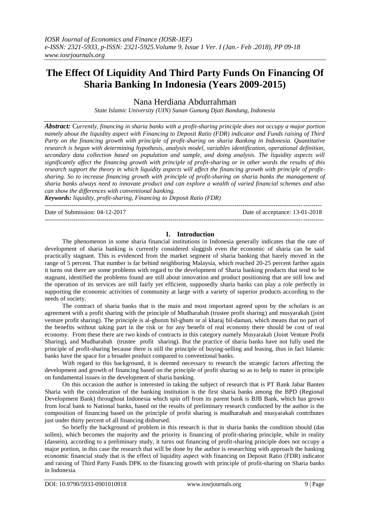# **The Effect Of Liquidity And Third Party Funds On Financing Of Sharia Banking In Indonesia (Years 2009-2015)**

Nana Herdiana Abdurrahman

*State Islamic University (UIN) Sunan Gunung Djati Bandung, Indonesia*

*Abstract:* C*urrently, financing in sharia banks with a profit-sharing principle does not occupy a major portion namely about the liquidity aspect with Financing to Deposit Ratio (FDR) indicator and Funds raising of Third Party on the financing growth with principle of profit-sharing on sharia Banking in Indonesia. Quantitative research is begun with determining hypothesis, analysis model, variables identification, operational definition, secondary data collection based on population and sample, and doing analysis. The liquidity aspects will significantly affect the financing growth with principle of profit-sharing or in other words the results of this research support the theory in which liquidity aspects will affect the financing growth with principle of profitsharing. So to increase financing growth with principle of profit-sharing on sharia banks the management of sharia banks always need to innovate product and can explore a wealth of varied financial schemes and also can show the differences with conventional banking.*

*Keywords: liquidity, profit-sharing, Financing to Deposit Ratio (FDR)* --------------------------------------------------------------------------------------------------------------------------------------

Date of Submission: 04-12-2017 Date of acceptance: 13-01-2018

## **I. Introduction**

---------------------------------------------------------------------------------------------------------------------------------------

The phenomenon in some sharia financial institutions in Indonesia generally indicates that the rate of development of sharia banking is currently considered sluggish even the economic of sharia can be said practically stagnant. This is evidenced from the market segment of sharia banking that barely moved in the range of 5 percent. That number is far behind neighboring Malaysia, which reached 20-25 percent farther again it turns out there are some problems with regard to the development of Sharia banking products that tend to be stagnant, identified the problems found are still about innovation and product positioning that are still low and the operation of its services are still fairly yet efficient, supposedly sharia banks can play a role perfectly in supporting the economic activities of community at large with a variety of superior products according to the needs of society.

The contract of sharia banks that is the main and most important agreed upon by the scholars is an agreement with a profit sharing with the principle of Mudharabah (trustee profit sharing) and musyarakah (joint venture profit sharing). The principle is al-ghunm bil-ghum or al kharaj bil-daman, which means that no part of the benefits without taking part in the risk or for any benefit of real economy there should be cost of real economy. From these there are two kinds of contracts in this category namely Musyarakah (Joint Venture Profit Sharing), and Mudharabah (trustee profit sharing). But the practice of sharia banks have not fully used the principle of profit-sharing because there is still the principle of buying-selling and leasing, thus in fact Islamic banks have the space for a broader product compared to conventional banks.

With regard to this background, it is deemed necessary to research the strategic factors affecting the development and growth of financing based on the principle of profit sharing so as to help to mater in principle on fundamental issues in the development of sharia banking.

On this occasion the author is interested in taking the subject of research that is PT Bank Jabar Banten Sharia with the consideration of the banking institution is the first sharia banks among the BPD (Regional Development Bank) throughout Indonesia which spin off from its parent bank is BJB Bank, which has grown from local bank to National banks, based on the results of preliminary research conducted by the author is the composition of financing based on the principle of profit sharing is mudharabah and musyarakah contributes just under thirty percent of all financing disbursed.

So briefly the background of problem in this research is that in sharia banks the condition should (das sollen), which becomes the majority and the priority is financing of profit-sharing principle, while in reality (dassein), according to a preliminary study, it turns out financing of profit-sharing principle does not occupy a major portion, in this case the research that will be done by the author is researching with approach the banking economic financial study that is the effect of liquidity aspect with financing on Deposit Ratio (FDR) indicator and raising of Third Party Funds DPK to the financing growth with principle of profit-sharing on Sharia banks in Indonesia.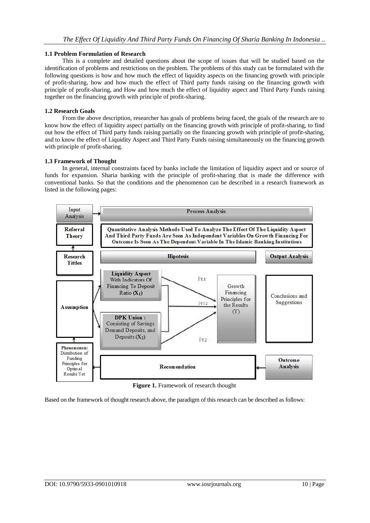## **1.1 Problem Formulation of Research**

This is a complete and detailed questions about the scope of issues that will be studied based on the identification of problems and restrictions on the problem. The problems of this study can be formulated with the following questions is how and how much the effect of liquidity aspects on the financing growth with principle of profit-sharing, how and how much the effect of Third party funds raising on the financing growth with principle of profit-sharing, and How and how much the effect of liquidity aspect and Third Party Funds raising together on the financing growth with principle of profit-sharing.

## **1.2 Research Goals**

From the above description, researcher has goals of problems being faced, the goals of the research are to know how the effect of liquidity aspect partially on the financing growth with principle of profit-sharing, to find out how the effect of Third party funds raising partially on the financing growth with principle of profit-sharing, and to know the effect of Liquidity Aspect and Third Party Funds raising simultaneously on the financing growth with principle of profit-sharing.

## **1.3 Framework of Thought**

In general, internal constraints faced by banks include the limitation of liquidity aspect and or source of funds for expansion. Sharia banking with the principle of profit-sharing that is made the difference with conventional banks. So that the conditions and the phenomenon can be described in a research framework as listed in the following pages:



**Figure 1.** Framework of research thought

Based on the framework of thought research above, the paradigm of this research can be described as follows: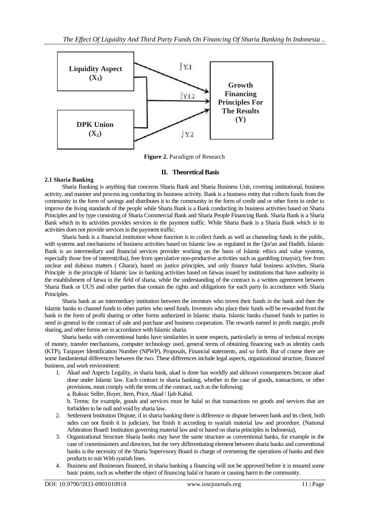

**Figure 2.** Paradigm of Research

## **II. Theoretical Basis**

## **2.1 Sharia Banking**

Sharia Banking is anything that concerns Sharia Bank and Sharia Business Unit, covering institutional, business activity, and manner and process ing conducting its business activity. Bank is a business entity that collects funds from the community in the form of savings and distributes it to the community in the form of credit and or other form in order to improve the living standards of the people while Sharia Bank is a Bank conducting its business activities based on Sharia Principles and by type consisting of Sharia Commercial Bank and Sharia People Financing Bank. Sharia Bank is a Sharia Bank which in its activities provides services in the payment traffic. While Sharia Bank is a Sharia Bank which in its activities does not provide services in the payment traffic.

Sharia bank is a financial institution whose function is to collect funds as well as channeling funds to the public, with systems and mechanisms of business activities based on Islamic law as regulated in the Our'an and Hadith. Islamic Bank is an intermediary and financial services provider working on the basis of Islamic ethics and value systems, especially those free of interest(riba), free from speculative non-productive activities such as gambling (maysir), free from unclear and dubious matters ( Gharar), based on justice principles, and only finance halal business activities. Sharia Principle is the principle of Islamic law in banking activities based on fatwas issued by institutions that have authority in the establishment of fatwa in the field of sharia, while the understanding of the contract is a written agreement between Sharia Bank or UUS and other parties that contain the rights and obligations for each party In accordance with Sharia Principles.

Sharia bank as an intermediary institution between the investors who invest their funds in the bank and then the Islamic banks to channel funds to other parties who need funds. Investors who place their funds will be rewarded from the bank in the form of profit sharing or other forms authorized in Islamic sharia. Islamic banks channel funds to parties in need in general in the contract of sale and purchase and business cooperation. The rewards earned in profit margin, profit sharing, and other forms are in accordance with Islamic sharia.

Sharia banks with conventional banks have similarities in some respects, particularly in terms of technical receipts of money, transfer mechanisms, computer technology used, general terms of obtaining financing such as identity cards (KTP), Taxpayer Identification Number (NPWP), Proposals, Financial statements, and so forth. But of course there are some fundamental differences between the two. These differences include legal aspects, organizational structure, financed business, and work environment:

1. Akad and Aspects Legality, in sharia bank, akad is done has worldly and ukhrawi consequences because akad done under Islamic law. Each contract in sharia banking, whether in the case of goods, transactions, or other provisions, must comply with the terms of the contract, such as the following:

a. Rukun: Seller, Buyer, Item, Price, Akad / Ijab Kabul.

b. Terms: for example, goods and services must be halal so that transactions on goods and services that are forbidden to be null and void by sharia law.

- 2. Settlement Institution Dispute, if in sharia banking there is difference or dispute between bank and its client, both sides can not finish it in judiciary, but finish it according to syariah material law and procedure. (National Arbitration Board: Institution governing material law and or based on sharia principles in Indonesia),
- 3. Organizational Structure Sharia banks may have the same structure as conventional banks, for example in the case of commissioners and directors, but the very differentiating element between sharia banks and conventional banks is the necessity of the Sharia Supervisory Board in charge of overseeing the operations of banks and their products to suit With syariah lines.
- 4. Business and Businesses financed, in sharia banking a financing will not be approved before it is ensured some basic points, such as whether the object of financing halal or haram or causing harm to the community.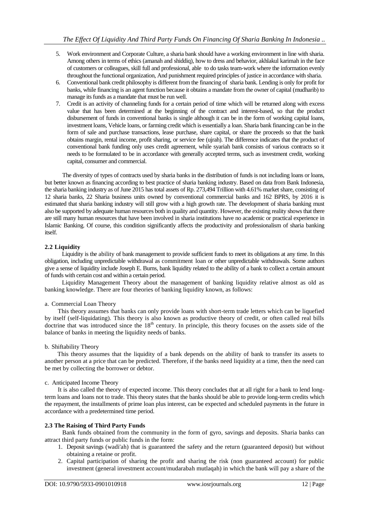- 5. Work environment and Corporate Culture, a sharia bank should have a working environment in line with sharia. Among others in terms of ethics (amanah and shiddiq), how to dress and behavior, akhlakul karimah in the face of customers or colleagues, skill full and professional, able to do tasks team-work where the information evenly throughout the functional organization, And punishment required principles of justice in accordance with sharia.
- 6. Conventional bank credit philosophy is different from the financing of sharia bank. Lending is only for profit for banks, while financing is an agent function because it obtains a mandate from the owner of capital (mudharib) to manage its funds as a mandate that must be run well.
- 7. Credit is an activity of channeling funds for a certain period of time which will be returned along with excess value that has been determined at the beginning of the contract and interest-based, so that the product disbursement of funds in conventional banks is single although it can be in the form of working capital loans, investment loans, Vehicle loans, or farming credit which is essentially a loan. Sharia bank financing can be in the form of sale and purchase transactions, lease purchase, share capital, or share the proceeds so that the bank obtains margin, rental income, profit sharing, or service fee (ujrah). The difference indicates that the product of conventional bank funding only uses credit agreement, while syariah bank consists of various contracts so it needs to be formulated to be in accordance with generally accepted terms, such as investment credit, working capital, consumer and commercial.

The diversity of types of contracts used by sharia banks in the distribution of funds is not including loans or loans, but better known as financing according to best practice of sharia banking industry. Based on data from Bank Indonesia, the sharia banking industry as of June 2015 has total assets of Rp. 273,494 Trillion with 4.61% market share, consisting of 12 sharia banks, 22 Sharia business units owned by conventional commercial banks and 162 BPRS, by 2016 it is estimated that sharia banking industry will still grow with a high growth rate. The development of sharia banking must also be supported by adequate human resources both in quality and quantity. However, the existing reality shows that there are still many human resources that have been involved in sharia institutions have no academic or practical experience in Islamic Banking. Of course, this condition significantly affects the productivity and professionalism of sharia banking itself.

## **2.2 Liquidity**

Liquidity is the ability of bank management to provide sufficient funds to meet its obligations at any time. In this obligation, including unpredictable withdrawal as commitment loan or other unpredictable withdrawals. Some authors give a sense of liquidity include Joseph E. Burns, bank liquidity related to the ability of a bank to collect a certain amount of funds with certain cost and within a certain period.

Liquidity Management Theory about the management of banking liquidity relative almost as old as banking knowledge. There are four theories of banking liquidity known, as follows:

### a. Commercial Loan Theory

This theory assumes that banks can only provide loans with short-term trade letters which can be liquefied by itself (self-liquidating). This theory is also known as productive theory of credit, or often called real bills doctrine that was introduced since the  $18<sup>th</sup>$  century. In principle, this theory focuses on the assets side of the balance of banks in meeting the liquidity needs of banks.

### b. Shiftability Theory

This theory assumes that the liquidity of a bank depends on the ability of bank to transfer its assets to another person at a price that can be predicted. Therefore, if the banks need liquidity at a time, then the need can be met by collecting the borrower or debtor.

### c. Anticipated Income Theory

It is also called the theory of expected income. This theory concludes that at all right for a bank to lend longterm loans and loans not to trade. This theory states that the banks should be able to provide long-term credits which the repayment, the installments of prime loan plus interest, can be expected and scheduled payments in the future in accordance with a predetermined time period.

### **2.3 The Raising of Third Party Funds**

Bank funds obtained from the community in the form of gyro, savings and deposits. Sharia banks can attract third party funds or public funds in the form:

- 1. Deposit savings (wadi'ah) that is guaranteed the safety and the return (guaranteed deposit) but without obtaining a retaine or profit.
- 2. Capital participation of sharing the profit and sharing the risk (non guaranteed account) for public investment (general investment account/mudarabah mutlaqah) in which the bank will pay a share of the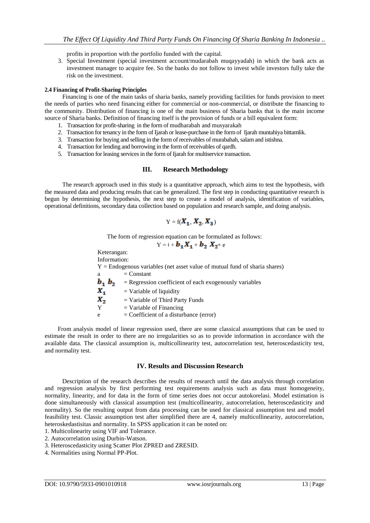profits in proportion with the portfolio funded with the capital.

3. Special Investment (special investment account/mudarabah muqayyadah) in which the bank acts as investment manager to acquire fee. So the banks do not follow to invest while investors fully take the risk on the investment.

## **2.4 Financing of Profit-Sharing Principles**

Financing is one of the main tasks of sharia banks, namely providing facilities for funds provision to meet the needs of parties who need financing either for commercial or non-commercial, or distribute the financing to the community. Distribution of financing is one of the main business of Sharia banks that is the main income source of Sharia banks. Definition of financing itself is the provision of funds or a bill equivalent form:

- 1. Transaction for profit-sharing in the form of mudharabah and musyarakah
- 2. Transaction for tenancy in the form of Ijarah or lease-purchase in the form of Ijarah muntahiya bittamlik.
- 3. Transaction for buying and selling in the form of receivables of murabahah, salam and istishna.
- 4. Transaction for lending and borrowing in the form of receivables of qardh.
- 5. Transaction for leasing services in the form of Ijarah for multiservice transaction.

## **III. Research Methodology**

The research approach used in this study is a quantitative approach, which aims to test the hypothesis, with the measured data and producing results that can be generalized. The first step in conducting quantitative research is begun by determining the hypothesis, the next step to create a model of analysis, identification of variables, operational definitions, secondary data collection based on population and research sample, and doing analysis.

$$
\mathrm{Y}=\mathrm{f}(\pmb{X_1},\pmb{X_2},\pmb{X_3})
$$

The form of regression equation can be formulated as follows:

$$
Y = 1 + b_1 X_1 + b_2 X_2 + e
$$

Keterangan:

Information:  $Y =$  Endogenous variables (net asset value of mutual fund of sharia shares)  $=$  Constant  $**b**<sub>2</sub>$  **= Regression coefficient of each exogenously variables**  $X_{1}$  $=$  Variable of liquidity Х, = Variable of Third Party Funds  $Y = Variable of Financialing$  $e = Coefficient of a disturbance (error)$ 

From analysis model of linear regression used, there are some classical assumptions that can be used to estimate the result in order to there are no irregularities so as to provide information in accordance with the available data. The classical assumption is, multicollinearity test, autocorrelation test, heteroscedasticity test, and normality test.

## **IV. Results and Discussion Research**

Description of the research describes the results of research until the data analysis through correlation and regression analysis by first performing test requirements analysis such as data must homogeneity, normality, linearity, and for data in the form of time series does not occur autokorelasi. Model estimation is done simultaneously with classical assumption test (multicollinearity, autocorrelation, heteroscedasticity and normality). So the resulting output from data processing can be used for classical assumption test and model feasibility test. Classic assumption test after simplified there are 4, namely multicollinearity, autocorrelation, heteroskedastisitas and normality. In SPSS application it can be noted on:

- 1. Multicolinearity using VIF and Tolerance.
- 2. Autocorrelation using Durbin-Watson.
- 3. Heteroscedasticity using Scatter Plot ZPRED and ZRESID.
- 4. Normalities using Normal PP-Plot.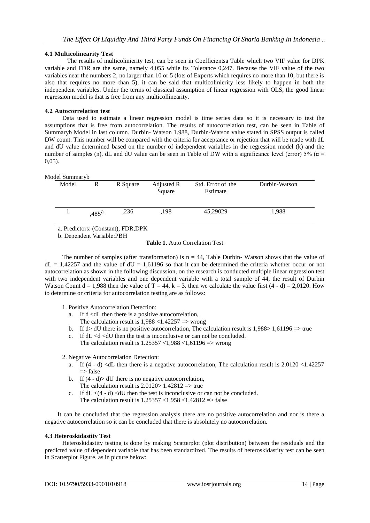## **4.1 Multicolinearity Test**

The results of multicolinierity test, can be seen in Coefficientsa Table which two VIF value for DPK variable and FDR are the same, namely 4,055 while its Tolerance 0,247. Because the VIF value of the two variables near the numbers 2, no larger than 10 or 5 (lots of Experts which requires no more than 10, but there is also that requires no more than 5), it can be said that multicolinierity less likely to happen in both the independent variables. Under the terms of classical assumption of linear regression with OLS, the good linear regression model is that is free from any multicollinearity.

## **4.2 Autocorrelation test**

Data used to estimate a linear regression model is time series data so it is necessary to test the assumptions that is free from autocorrelation. The results of autocorrelation test, can be seen in Table of Summaryb Model in last column. Durbin- Watson 1.988, Durbin-Watson value stated in SPSS output is called DW count. This number will be compared with the criteria for acceptance or rejection that will be made with dL and dU value determined based on the number of independent variables in the regression model (k) and the number of samples (n). dL and dU value can be seen in Table of DW with a significance level (error) 5% ( $\alpha$  = 0,05).

Model Summaryb

| Juvi Dunnini YU |       |                   |          |                      |                               |               |  |
|-----------------|-------|-------------------|----------|----------------------|-------------------------------|---------------|--|
|                 | Model | R                 | R Square | Adjusted R<br>Square | Std. Error of the<br>Estimate | Durbin-Watson |  |
|                 |       | .485 <sup>a</sup> | ,236     | .198                 | 45,29029                      | 1,988         |  |
|                 |       |                   |          |                      |                               |               |  |

a. Predictors: (Constant), FDR,DPK

b. Dependent Variable:PBH

## **Table 1.** Auto Correlation Test

The number of samples (after transformation) is  $n = 44$ , Table Durbin-Watson shows that the value of  $dL = 1,42257$  and the value of  $dU = 1,61196$  so that it can be determined the criteria whether occur or not autocorrelation as shown in the following discussion, on the research is conducted multiple linear regression test with two independent variables and one dependent variable with a total sample of 44, the result of Durbin Watson Count  $d = 1,988$  then the value of T = 44, k = 3. then we calculate the value first (4 - d) = 2,0120. How to determine or criteria for autocorrelation testing are as follows:

- 1. Positive Autocorrelation Detection:
	- a. If d <dL then there is a positive autocorrelation, The calculation result is  $1,988 < 1.42257$  => wrong
	- b. If  $d$  dU there is no positive autocorrelation, The calculation result is  $1,988 > 1,61196 \implies$  true
	- c. If dL <d <dU then the test is inconclusive or can not be concluded. The calculation result is  $1.25357 \le 1,988 \le 1,61196 \implies$  wrong
- 2. Negative Autocorrelation Detection:
	- a. If  $(4 d)$  <dL then there is a negative autocorrelation, The calculation result is 2.0120 <1.42257  $\Rightarrow$  false
	- b. If  $(4 d)$  dU there is no negative autocorrelation, The calculation result is  $2.0120 > 1.42812 \implies$  true
	- c. If  $dL < (4 d) < dU$  then the test is inconclusive or can not be concluded. The calculation result is  $1.25357 < 1.958 < 1.42812 \Rightarrow$  false

It can be concluded that the regression analysis there are no positive autocorrelation and nor is there a negative autocorrelation so it can be concluded that there is absolutely no autocorrelation.

## **4.3 Heteroskidastity Test**

Heteroskidastity testing is done by making Scatterplot (plot distribution) between the residuals and the predicted value of dependent variable that has been standardized. The results of heteroskidastity test can be seen in Scatterplot Figure, as in picture below: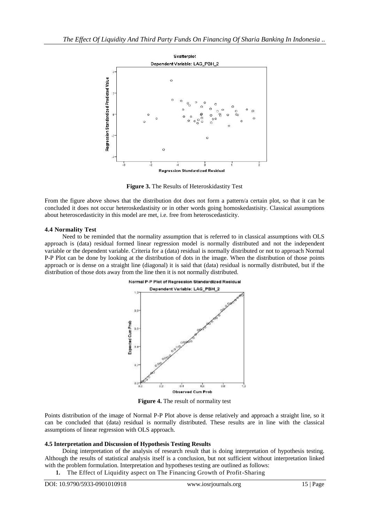

**Figure 3.** The Results of Heteroskidastity Test

From the figure above shows that the distribution dot does not form a pattern/a certain plot, so that it can be concluded it does not occur heteroskedastisity or in other words going homoskedastisity. Classical assumptions about heteroscedasticity in this model are met, i.e. free from heteroscedasticity.

### **4.4 Normality Test**

Need to be reminded that the normality assumption that is referred to in classical assumptions with OLS approach is (data) residual formed linear regression model is normally distributed and not the independent variable or the dependent variable. Criteria for a (data) residual is normally distributed or not to approach Normal P-P Plot can be done by looking at the distribution of dots in the image. When the distribution of those points approach or is dense on a straight line (diagonal) it is said that (data) residual is normally distributed, but if the distribution of those dots away from the line then it is not normally distributed.



**Figure 4.** The result of normality test

Points distribution of the image of Normal P-P Plot above is dense relatively and approach a straight line, so it can be concluded that (data) residual is normally distributed. These results are in line with the classical assumptions of linear regression with OLS approach.

### **4.5 Interpretation and Discussion of Hypothesis Testing Results**

Doing interpretation of the analysis of research result that is doing interpretation of hypothesis testing. Although the results of statistical analysis itself is a conclusion, but not sufficient without interpretation linked with the problem formulation. Interpretation and hypotheses testing are outlined as follows:

**1.** The Effect of Liquidity aspect on The Financing Growth of Profit-Sharing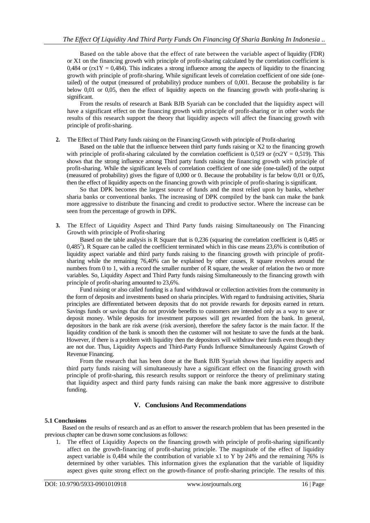Based on the table above that the effect of rate between the variable aspect of liquidity (FDR) or X1 on the financing growth with principle of profit-sharing calculated by the correlation coefficient is 0,484 or ( $rx1Y = 0.484$ ). This indicates a strong influence among the aspects of liquidity to the financing growth with principle of profit-sharing. While significant levels of correlation coefficient of one side (onetailed) of the output (measured of probability) produce numbers of 0,001. Because the probability is far below 0,01 or 0,05, then the effect of liquidity aspects on the financing growth with profit-sharing is significant.

From the results of research at Bank BJB Syariah can be concluded that the liquidity aspect will have a significant effect on the financing growth with principle of profit-sharing or in other words the results of this research support the theory that liquidity aspects will affect the financing growth with principle of profit-sharing.

**2.** The Effect of Third Party funds raising on the Financing Growth with principle of Profit-sharing

Based on the table that the influence between third party funds raising or X2 to the financing growth with principle of profit-sharing calculated by the correlation coefficient is 0,519 or ( $\text{rx2Y} = 0.519$ ). This shows that the strong influence among Third party funds raising the financing growth with principle of profit-sharing. While the significant levels of correlation coefficient of one side (one-tailed) of the output (measured of probability) gives the figure of 0,000 or 0. Because the probability is far below 0,01 or 0,05, then the effect of liquidity aspects on the financing growth with principle of profit-sharing is significant.

So that DPK becomes the largest source of funds and the most relied upon by banks, whether sharia banks or conventional banks. The increasing of DPK compiled by the bank can make the bank more aggressive to distribute the financing and credit to productive sector. Where the increase can be seen from the percentage of growth in DPK.

**3.** The Effect of Liquidity Aspect and Third Party funds raising Simultaneously on The Financing Growth with principle of Profit-sharing

Based on the table analysis is R Square that is 0,236 (squaring the correlation coefficient is 0,485 or  $0,485<sup>2</sup>$ ). R Square can be called the coefficient terminated which in this case means 23,6% is contribution of liquidity aspect variable and third party funds raising to the financing growth with principle of profitsharing while the remaining 76,40% can be explained by other causes, R square revolves around the numbers from 0 to 1, with a record the smaller number of R square, the weaker of relation the two or more variables. So, Liquidity Aspect and Third Party funds raising Simultaneously to the financing growth with principle of profit-sharing amounted to 23,6%.

Fund raising or also called funding is a fund withdrawal or collection activities from the community in the form of deposits and investments based on sharia principles. With regard to fundraising activities, Sharia principles are differentiated between deposits that do not provide rewards for deposits earned in return. Savings funds or savings that do not provide benefits to customers are intended only as a way to save or deposit money. While deposits for investment purposes will get rewarded from the bank. In general, depositors in the bank are risk averse (risk aversion), therefore the safety factor is the main factor. If the liquidity condition of the bank is smooth then the customer will not hesitate to save the funds at the bank. However, if there is a problem with liquidity then the depositors will withdraw their funds even though they are not due. Thus, Liquidity Aspects and Third-Party Funds Influence Simultaneously Against Growth of Revenue Financing.

From the research that has been done at the Bank BJB Syariah shows that liquidity aspects and third party funds raising will simultaneously have a significant effect on the financing growth with principle of profit-sharing, this research results support or reinforce the theory of preliminary stating that liquidity aspect and third party funds raising can make the bank more aggressive to distribute funding.

## **V. Conclusions And Recommendations**

### **5.1 Conclusions**

Based on the results of research and as an effort to answer the research problem that has been presented in the previous chapter can be drawn some conclusions as follows:

1. The effect of Liquidity Aspects on the financing growth with principle of profit-sharing significantly affect on the growth-financing of profit-sharing principle. The magnitude of the effect of liquidity aspect variable is 0,484 while the contribution of variable x1 to Y by 24% and the remaining 76% is determined by other variables. This information gives the explanation that the variable of liquidity aspect gives quite strong effect on the growth-finance of profit-sharing principle. The results of this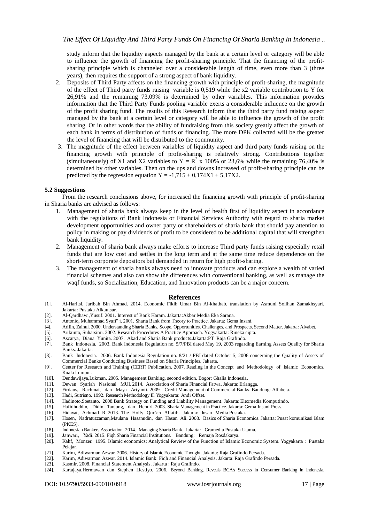study inform that the liquidity aspects managed by the bank at a certain level or category will be able to influence the growth of financing the profit-sharing principle. That the financing of the profitsharing principle which is channeled over a considerable length of time, even more than 3 (three years), then requires the support of a strong aspect of bank liquidity.

- 2. Deposits of Third Party affects on the financing growth with principle of profit-sharing, the magnitude of the effect of Third party funds raising variable is 0,519 while the x2 variable contribution to Y for 26,91% and the remaining 73.09% is determined by other variables. This information provides information that the Third Party Funds pooling variable exerts a considerable influence on the growth of the profit sharing fund. The results of this Research inform that the third party fund raising aspect managed by the bank at a certain level or category will be able to influence the growth of the profit sharing. Or in other words that the ability of fundraising from this society greatly affect the growth of each bank in terms of distribution of funds or financing. The more DPK collected will be the greater the level of financing that will be distributed to the community.
- 3. The magnitude of the effect between variables of liquidity aspect and third party funds raising on the financing growth with principle of profit-sharing is relatively strong. Contributions together (simultaneously) of X1 and X2 variables to  $Y = R^2 \times 100\%$  or 23,6% while the remaining 76,40% is determined by other variables. Then on the ups and downs increased of profit-sharing principle can be predicted by the regression equation  $Y = -1,715 + 0,174X1 + 5,17X2$ .

#### **5.2 Suggestions**

From the research conclusions above, for increased the financing growth with principle of profit-sharing in Sharia banks are advised as follows:

- 1. Management of sharia bank always keep in the level of health first of liquidity aspect in accordance with the regulations of Bank Indonesia or Financial Services Authority with regard to sharia market development opportunities and owner party or shareholders of sharia bank that should pay attention to policy in making or pay dividends of profit to be considered to be additional capital that will strengthen bank liquidity.
- 2. Management of sharia bank always make efforts to increase Third party funds raising especially retail funds that are low cost and settles in the long term and at the same time reduce dependence on the short-term corporate depositors but demanded in return for high profit-sharing.
- 3. The management of sharia banks always need to innovate products and can explore a wealth of varied financial schemes and also can show the differences with conventional banking, as well as manage the waqf funds, so Socialization, Education, and Innovation products can be a major concern.

#### **References**

- [1]. Al-Haritsi, Jaribah Bin Ahmad. 2014. Economic Fikih Umar Bin Al-khathab, translation by Asmuni Solihan Zamakhsyari. Jakarta: Pustaka Alkautsar.
- [2]. Al-Qardhawi,Yusuf. 2001. Interest of Bank Haram. Jakarta:Akbar Media Eka Sarana.
- [3]. Antonio, Muhammad Syafi" i. 2001. Sharia Bank from Theory to Practice. Jakarta: Gema Insani.
- [4]. Arifin, Zainul. 2000. Understanding Sharia Banks, Scope, Opportunities, Challenges, and Prospects, Second Matter. Jakarta: Alvabet.
- [5]. Arikunto, Suharsimi. 2002. Research Procedures A Practice Approach. Yogyakarta: Rineka cipta.
- [6]. Ascarya, Diana Yunita. 2007. Akad and Sharia Bank products.Jakarta:PT Raja Grafindo.
- [7]. Bank Indonesia. 2003. Bank Indonesia Regulation no. 5/7/PBI dated May 19, 2003 regarding Earning Assets Quality for Sharia Banks. Jakarta.
- [8]. Bank Indonesia. 2006. Bank Indonesia Regulation no. 8/21 / PBI dated October 5, 2006 concerning the Quality of Assets of Commercial Banks Conducting Business Based on Sharia Principles. Jakarta.
- [9]. Center for Research and Training (CERT) Publication. 2007. Reading in the Concept and Methodology of Islamic Economics. Kuala Lumpur.
- [10]. Dendawijaya,Lukman. 2005. Management Banking, second edition. Bogor: Ghalia Indonesia.
- [11]. Dewan Syariah Nasional MUI. 2014. Association of Sharia Financial Fatwa. Jakarta: Erlangga.
- [12]. Firdaus, Rachmat, dan Maya Ariyanti. 2009. Credit Management of Commercial Banks. Bandung: Alfabeta.
- [13]. Hadi, Sutrisno. 1992. Research Methodology II. Yogyakarta: Andi Offset.
- [14]. Hadinoto,Soetanto. 2008.Bank Strategy on Funding and Liability Management. Jakarta: Elexmedia Komputindo.
- [15]. Hafidhuddin, Didin Tanjung, dan Hendri. 2003. Sharia Management in Practice. Jakarta: Gema Insani Press.
- [16]. Hidayat, Achmad R. 2013. The Holly Qur'an Alfatih. Jakarta: Insan Media Pustaka.
- [17]. Hosen, Nadratuzzaman,Maulana Hasanudin, dan Hasan Ali. 2008. Basics of Sharia Economics. Jakarta: Pusat komunikasi Islam (PKES).
- [18]. Indonesian Bankers Association. 2014. Managing Sharia Bank. Jakarta: Gramedia Pustaka Utama.
- 
- [19]. Janwari, Yadi. 2015. Fiqh Sharia Financial Institutions. Bandung: Remaja Rosdakarya. Kahf, Monzer. 1995. Islamic economics: Analytical Review of the Function of Islamic Economic System. Yogyakarta : Pustaka Pelajar.
- [21]. Karim, Adiwarman Azwar. 2006. History of Islamic Economic Thought. Jakarta: Raja Grafindo Persada.
- [22]. Karim, Adiwarman Azwar. 2014. Islamic Bank: Fiqh and Financial Analysis. Jakarta: Raja Grafindo Persada.
- [23]. Kasmir. 2008. Financial Statement Analysis. Jakarta : Raja Grafindo.
- [24]. Kartajaya,Hermawan dan Stephen Liestiyo. 2006. Beyond Banking, Reveals BCA's Success in Consumer Banking in Indonesia.